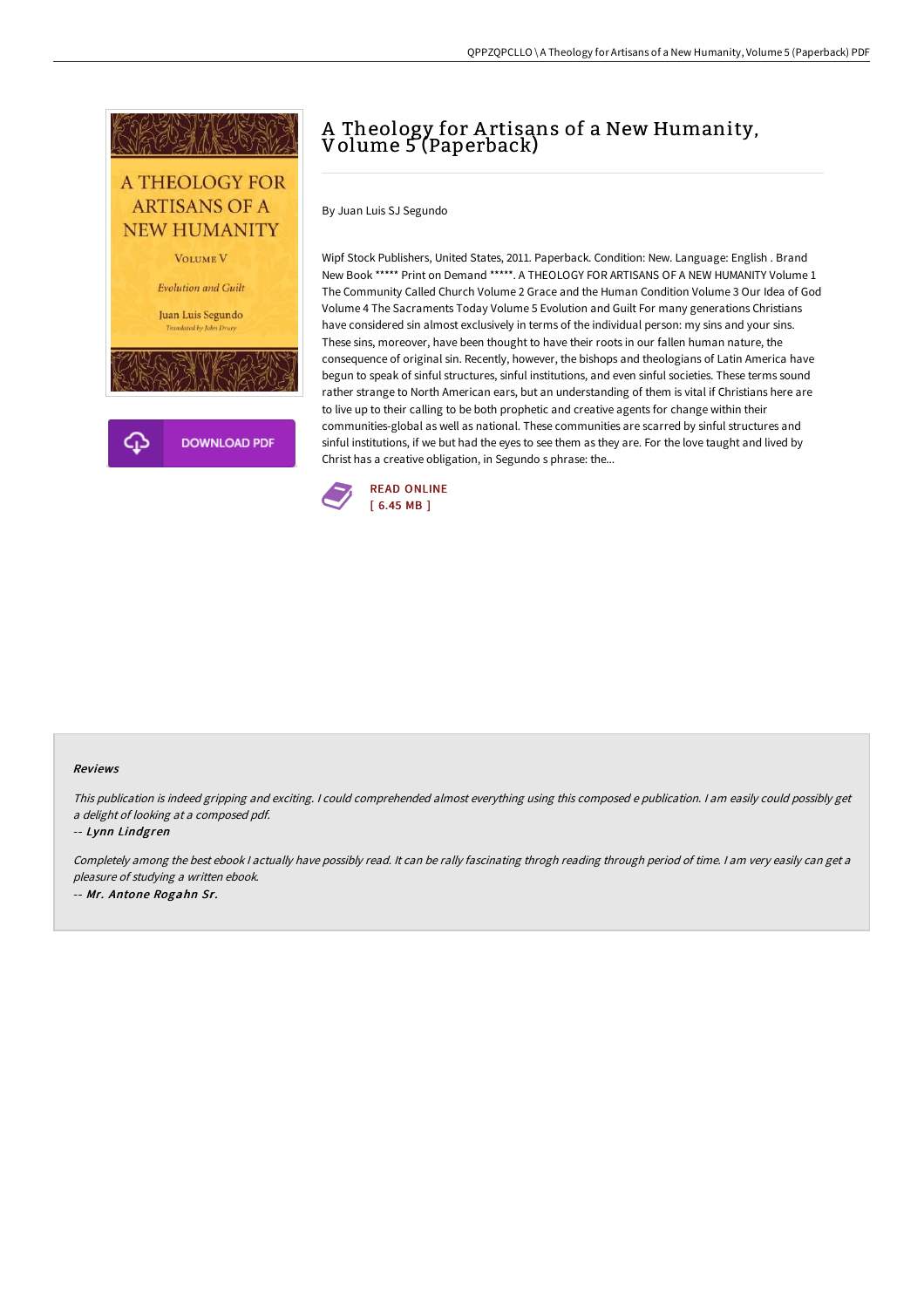

## A Theology for A rtisans of a New Humanity, Volume 5 (Paperback)

By Juan Luis SJ Segundo

Wipf Stock Publishers, United States, 2011. Paperback. Condition: New. Language: English . Brand New Book \*\*\*\*\* Print on Demand \*\*\*\*\*. A THEOLOGY FOR ARTISANS OF A NEW HUMANITY Volume 1 The Community Called Church Volume 2 Grace and the Human Condition Volume 3 Our Idea of God Volume 4 The Sacraments Today Volume 5 Evolution and Guilt For many generations Christians have considered sin almost exclusively in terms of the individual person: my sins and your sins. These sins, moreover, have been thought to have their roots in our fallen human nature, the consequence of original sin. Recently, however, the bishops and theologians of Latin America have begun to speak of sinful structures, sinful institutions, and even sinful societies. These terms sound rather strange to North American ears, but an understanding of them is vital if Christians here are to live up to their calling to be both prophetic and creative agents for change within their communities-global as well as national. These communities are scarred by sinful structures and sinful institutions, if we but had the eyes to see them as they are. For the love taught and lived by Christ has a creative obligation, in Segundo s phrase: the...



## Reviews

This publication is indeed gripping and exciting. I could comprehended almost everything using this composed <sup>e</sup> publication. I am easily could possibly get <sup>a</sup> delight of looking at <sup>a</sup> composed pdf.

## -- Lynn Lindgren

Completely among the best ebook <sup>I</sup> actually have possibly read. It can be rally fascinating throgh reading through period of time. <sup>I</sup> am very easily can get <sup>a</sup> pleasure of studying <sup>a</sup> written ebook. -- Mr. Antone Rogahn Sr.